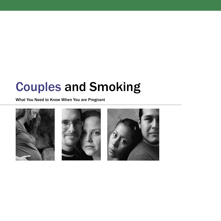# Couples and Smoking

What You Need to Know When You are Pregnant

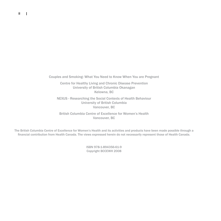Couples and Smoking: What You Need to Know When You are Pregnant

Centre for Healthy Living and Chronic Disease Prevention University of British Columbia Okanagan Kelowna, BC

NEXUS - Researching the Social Contexts of Health Behaviour University of British Columbia Vancouver, BC

British Columbia Centre of Excellence for Women's Health Vancouver, BC

The British Columbia Centre of Excellence for Women's Health and its activities and products have been made possible through a financial contribution from Health Canada. The views expressed herein do not necessarily represent those of Health Canada.

> ISBN 978-1-894356-61-9 Copyright BCCEWH 2008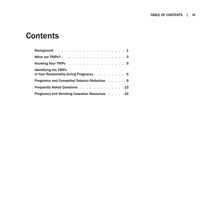# **Contents**

| What are TRIPs? 3                                                        |  |  |  |
|--------------------------------------------------------------------------|--|--|--|
| Knowing Your TRIPs 5                                                     |  |  |  |
| <b>Identifying the TRIPs</b><br>in Your Relationship during Pregnancy. 6 |  |  |  |
| Pregnancy and Compelled Tobacco Reduction 9                              |  |  |  |
| Frequently Asked Questions 12                                            |  |  |  |
| Pregnancy and Smoking Cessation Resources 16                             |  |  |  |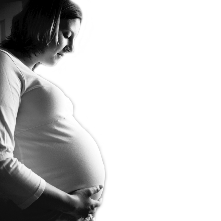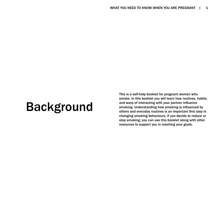# Background

This is a self-help booklet for pregnant women who smoke. In this booklet you will learn how routines, habits, and ways of interacting with your partner influence smoking. Understanding how smoking is influenced by others and everyday routines is an important first step in changing smoking behaviours. If you decide to reduce or stop smoking, you can use this booklet along with other resources to support you in reaching your goals.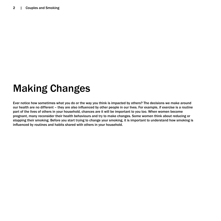# Making Changes

Ever notice how sometimes what you do or the way you think is impacted by others? The decisions we make around our health are no different – they are also influenced by other people in our lives. For example, if exercise is a routine part of the lives of others in your household, chances are it will be important to you too. When women become pregnant, many reconsider their health behaviours and try to make changes. Some women think about reducing or stopping their smoking. Before you start trying to change your smoking, it is important to understand how smoking is influenced by routines and habits shared with others in your household.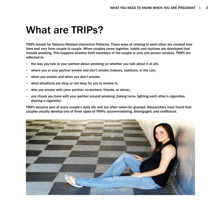# What are TRIPs?

TRIPs stands for Tobacco Related Interaction Patterns. These ways of relating to each other are created over time and vary from couple to couple. When couples come together, habits and routines are developed that include smoking. This happens whether both members of the couple or only one person smokes. TRIPs are reflected in:

- the way you talk to your partner about smoking (or whether you talk about it at all);
- where you or your partner smoke and don't smoke (indoors, outdoors, in the car);
- when you smoke and when you don't smoke;
- what situations are okay or not okay for you to smoke in;
- who you smoke with (your partner, co-workers, friends, or alone);
- any rituals you have with your partner around smoking (taking turns, lighting each other's cigarettes, sharing a cigarette).

TRIPs become part of every couple's daily life and are often taken-for granted. Researchers have found that couples usually develop one of three types of TRIPs: accommodating, disengaged, and conflictual.

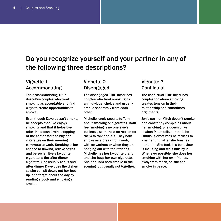### Do you recognize yourself and your partner in any of the following three descriptions?

#### Vignette 1 Accommodating

The accommodating TRIP describes couples who treat smoking as acceptable and find ways to create opportunities to smoke.

Even though Dave doesn't smoke, he accepts that Eve enjoys smoking and that it helps Eve relax. He doesn't mind stopping at the corner store to buy her cigarettes on their morning commute to work. Smoking is her chance to unwind, relieve stress and be social. Eve's favourite cigarette is the after dinner cigarette. She usually cooks and after dinner Dave does the dishes so she can sit down, put her feet up, and forget about the day by reading a book and enjoying a smoke.

#### Vignette 2 Disengaged

The disengaged TRIP describes couples who treat smoking as an individual choice and usually smoke separately from each other.

Michelle rarely speaks to Tom about smoking or cigarettes. Both feel smoking is no one else's business, so there is no reason for them to talk about it. They both smoke as a break from work, with co-workers or when they are hanging out with their friends. Michelle has her favourite brand and she buys her own cigarettes. She and Tom both smoke in the evening, but usually not together.

#### Vignette 3 **Conflictual**

The conflictual TRIP describes couples for whom smoking creates tension in their relationship and sometimes arguments.

Jen's partner Mitch doesn't smoke and constantly complains about her smoking. She doesn't like it when Mitch tells her that she 'stinks.' Sometimes he refuses to kiss her until after she brushes her teeth. She feels his behaviour is insulting and feels hurt by it. Whenever possible, she does her smoking with her own friends, away from Mitch, so she can smoke in peace.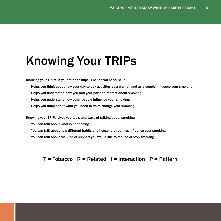# Knowing Your TRIPs

Knowing your TRIPs in your relationships is beneficial because it:

- Helps you think about how your day-to-day activities as a woman and as a couple influence your smoking;
- Helps you understand how you and your partner interact about smoking;
- Helps you understand how other people influence your smoking;
- Helps you think about what you need to do to change your smoking.

Knowing your TRIPs gives you tools and ways of talking about smoking.

- You can talk about what is happening.
- You can talk about how different habits and household routines influence your smoking.
- You can talk about the kind of support you would like to reduce or stop smoking.

#### $T = Tobacco$   $R = Related$  I = Interaction  $P = Pattern$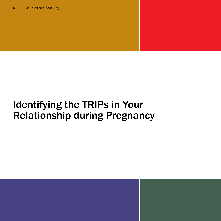# Identifying the TRIPs in Your Relationship during Pregnancy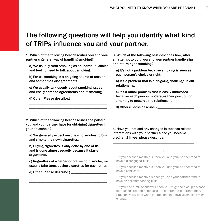## The following questions will help you identify what kind of TRIPs influence you and your partner.

1. Which of the following best describes you and your partner's general way of handling smoking?

a) We usually treat smoking as an individual choice and feel no need to talk about smoking.

b) For us, smoking is a on-going source of tension and sometimes disagreements.

c) We usually talk openly about smoking issues and easily come to agreements about smoking.

\_\_\_\_\_\_\_\_\_\_\_\_\_\_\_\_\_\_\_\_\_\_\_\_\_\_\_\_\_\_\_\_\_\_\_\_\_\_\_\_\_\_\_ \_\_\_\_\_\_\_\_\_\_\_\_\_\_\_\_\_\_\_\_\_\_\_\_\_\_\_\_\_\_\_\_\_\_\_\_\_\_\_\_\_\_\_

d) Other (Please describe.) \_\_\_\_\_\_\_\_\_\_\_\_\_\_\_\_\_\_\_\_

3. Which of the following best describes how, after an attempt to quit, you and your partner handle slips and returning to smoking?

a) It's not a problem because smoking is seen as each person's choice or right.

b) It's a problem that is a on-going challenge in our relationship.

c) It's a minor problem that is easily addressed because each person moderates their position on smoking to preserve the relationship.

\_\_\_\_\_\_\_\_\_\_\_\_\_\_\_\_\_\_\_\_\_\_\_\_\_\_\_\_\_\_\_\_\_\_\_\_\_\_\_\_\_\_\_ \_\_\_\_\_\_\_\_\_\_\_\_\_\_\_\_\_\_\_\_\_\_\_\_\_\_\_\_\_\_\_\_\_\_\_\_\_\_\_\_\_\_\_

d) Other (Please describe.) \_\_\_\_\_\_\_\_\_\_\_\_\_\_\_\_\_\_\_\_

2. Which of the following best describes the pattern you and your partner have for obtaining cigarettes in your household?

a) We generally expect anyone who smokes to buy and smoke their own cigarettes.

b) Buying cigarettes is only done by one of us and is done almost secretly because it starts arguments.

c) Regardless of whether or not we both smoke, we usually take turns buying cigarettes for each other.

\_\_\_\_\_\_\_\_\_\_\_\_\_\_\_\_\_\_\_\_\_\_\_\_\_\_\_\_\_\_\_\_\_\_\_\_\_\_\_\_\_\_\_ \_\_\_\_\_\_\_\_\_\_\_\_\_\_\_\_\_\_\_\_\_\_\_\_\_\_\_\_\_\_\_\_\_\_\_\_\_\_\_\_\_\_\_

d) Other (Please describe.) \_\_\_\_\_\_\_\_\_\_\_\_\_\_\_\_\_\_\_\_

4. Have you noticed any changes in tobacco-related interactions with your partner since you became pregnant? If yes, please describe.

\_\_\_\_\_\_\_\_\_\_\_\_\_\_\_\_\_\_\_\_\_\_\_\_\_\_\_\_\_\_\_\_\_\_\_\_\_\_\_\_\_\_\_\_\_

#### KEY

.. If you checked mostly *a's*, then you and your partner tend to have a disengaged TRIP.

.. If you checked mostly *b's,* then you and your partner tend to have a conflictual TRIP.

.. If you checked mostly *c's,* then you and your partner tend to have an accommodating TRIP.

.. If you had a mix of answers, then you might be a couple whose interactions related to tobacco are different at different times. Pregnancy is a time when interactions that involve smoking might change.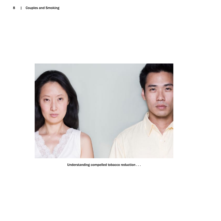

Understanding compelled tobacco reduction . . .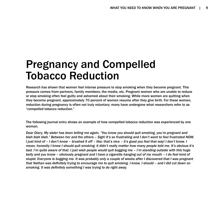# Pregnancy and Compelled Tobacco Reduction

Research has shown that women feel intense pressure to stop smoking when they become pregnant. This pressure comes from partners, family members, the media, etc. Pregnant women who are unable to reduce or stop smoking often feel guilty and ashamed about their smoking. While more women are quitting when they become pregnant, approximately 70 percent of women resume after they give birth. For these women, reduction during pregnancy is often not truly voluntary; many have undergone what researchers refer to as "compelled tobacco reduction."

The following journal entry shows an example of how compelled tobacco reduction was experienced by one woman.

*Dear Diary, My sister has been telling me again, "You know you should quit smoking, you're pregnant and blah blah blah." Between her and the others – Sigh! It's so frustrating and I don't want to feel frustrated NOW. I* just kind of – I don't know – brushed it off – like: that's nice – it's good you feel that way! I don't know. I *mean, honestly I knew I should quit smoking, it didn't really matter how many people told me. It's obvious it's bad. I'm quite aware of that. I just wish people would quit bugging me – I'm standing outside with this huge belly and you know – obviously pregnant and I have a cigarette hanging out of my mouth – I do feel kind of stupid. Everyone is bugging me. It was probably only a couple of weeks after I discovered that I was pregnant that Nathan was definitely trying to encourage me to quit smoking. I know, I should – and I did cut down on smoking. It was definitely something I was trying to do right away.*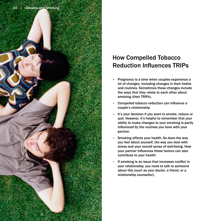

## How Compelled Tobacco Reduction Influences TRIPs

- Pregnancy is a time when couples experience a lot of changes, including changes in their habits and routines. Sometimes these changes include the ways that they relate to each other about smoking (their TRIPs).
- Compelled tobacco reduction can influence a couple's relationship.
- It's your decision if you want to smoke, reduce or quit. However, it's helpful to remember that your ability to make changes to your smoking is partly influenced by the routines you have with your partner.
- Smoking affects your health. So does the way you feel about yourself, the way you deal with stress and your overall sense of well-being. How your partner influences these factors can also contribute to your health.
- If smoking is an issue that increases conflict in your relationship, you need to talk to someone about this (such as your doctor, a friend, or a relationship counsellor).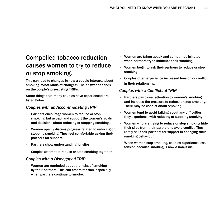### Compelled tobacco reduction causes women to try to reduce or stop smoking.

This can lead to changes in how a couple interacts about smoking. What kinds of changes? The answer depends on the couple's pre-existing TRIPs.

Some things that many couples have experienced are listed below:

#### *Couples with an Accommodating TRIP*

- Partners encourage women to reduce or stop smoking, but accept and support the women's goals and decisions about reducing or stopping smoking.
- Women openly discuss progress related to reducing or stopping smoking. They feel comfortable asking their partners for support.
- Partners show understanding for slips.
- Couples attempt to reduce or stop smoking together.

#### *Couples with a Disengaged TRIP*

• Women are reminded about the risks of smoking by their partners. This can create tension, especially when partners continue to smoke.

- Women are taken aback and sometimes irritated when partners try to influence their smoking.
- Women begin to ask their partners to reduce or stop smoking.
- Couples often experience increased tension or conflict in their relationship.

#### *Couples with a Conflictual TRIP*

- Partners pay closer attention to women's smoking and increase the pressure to reduce or stop smoking. There may be conflict about smoking.
- Women tend to avoid talking about any difficulties they experience with reducing or stopping smoking.
- Women who are trying to reduce or stop smoking hide their slips from their partners to avoid conflict. They rarely ask their partners for support in changing their smoking behaviour.
- When women stop smoking, couples experience less tension because smoking is now a non-issue.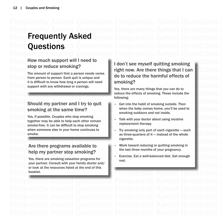### Frequently Asked Questions Frequently Asked Questions I Freq Frequently Asked tions Frequently Asked Questions I Freq Questionsed Questions Frequently Asked Questions I Frequently Asked Questions Frequently Asked Questions I **Questions**

#### Freq How much support will I need to<br>I don't see myself quitting smoking How much support will I need to stop or reduce smoking?

Frequently Asked Cuently Asked Cuently Asked Cuently Asked Cuently Asked Cuently Asked Questions Frequencies Frequencies Frequencies Frequencies Frequencies Frequencies Frequencies Frequencies Frequencies Frequencies Frequ The amount of support that a person needs varies from person to person. Each quit is unique and it is difficult to know how long a person will need support with any withdrawal or cravings.

#### Frequency Asked Questions Frequency Asked Questions Frequency Asked Questions Frequency Asked Questions Frequency Asked Questions Frequency Asked Questions Frequency Asked Questions Frequency Asked Questions Frequency Aske Should my partner and I try to quit smoking at the same time?

Frequently Asked Treaty Asked Couples who stop smoking<br>Talk with your doctor about using nicotine<br>Talk with your doctor about using nicotine Frequence Indy be able to help each other remain<br>
The companions Frequence and Asked Questions Frequently Asked Questions Frequently Asked Questions Frequently Asked Questions Frequently Asked Questions Frequently Asked Qu Yes, if possible. Couples who stop smoking together may be able to help each other remain smoke-free. It can be difficult to stop smoking when someone else in your home continues to smoke.

#### Frequence are there programs available to the last three months of your pregnancy.<br>The last three months of your pregnancy. Are there programs available to help my partner stop smoking?

Frequently Asked Questions Frequently Asked Questions Frequently Asked Questions Frequently Asked Questions Frequently Asked Questions Frequently Asked Questions Frequently Asked Questions Frequently Asked Questions Freque Frequently Asked Questions Frequently Asked Questions I Yes, there are smoking cessation programs for your partner. Consult with your family doctor and/ or look at the resources listed at the end of this booklet.

### Frequently Astop or requently Asked Questions Frequence Asked Questions Frequence Asked Questions Frequence Asked Questions Frequence Asked Questions Frequence Asked Questions Frequence Asked Questions Frequence Asked Que Frequently Asked The anifoliation support that a person needs values<br>  $\frac{d}{dx}$  do to reduce the harmful effects of do to reduce the harmful effects of smoking?

Frequently Asked Questions Frequently Asked Questions Frequently Asked Questions Frequently Asked Questions Frequently Asked Questions Frequently Asked Questions Frequently Asked Questions Frequently Asked Questions Freque Yes, there are many things that you can do to reduce the effects of smoking. These include the following:

- Frequently Asked Cuestions Frequently Asked Cuestions Frequently Asked Asked Questions Frequently Asked Questions Frequently Asked Questions Frequently Asked Questions Frequently Asked Questions Frequently Asked Questions Get into the habit of smoking outside. Then when the baby comes home, you'll be used to smoking outdoors and not inside.
	- Talk with your doctor about using nicotine replacement therapy.
- when someone eise in your nome continues to example. Try smoking only part of each cigarette such as three-quarters of it instead of the whole Frequencies Frequently Asked Questions Frequently Asked Questions Frequently Asked Questions Frequently Asked Questions Frequently Asked Questions Frequently Asked Questions Frequently Asked Questions Frequently Asked Ques • Try smoking only part of each cigarette — such as three-quarters of it — instead of the whole cigarette.
	- Work toward reducing or quitting smoking in the last three months of your pregnancy.
- Frequence are smoking cessation programs for the section of the contract Question Superintendence Questions Frequently Asked Questions Frequently Asked Questions Frequently Asked Questions Frequently Asked Questions Freque Exercise. Eat a well-balanced diet. Get enough rest.

Frequently Asked Questions Frequently Asked Questions I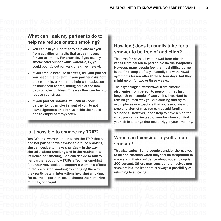# Frequently Asked Questions Frequently Asked Questions

#### Frequently Asked Questions Frequently Asked Questions Frequently Asked Questions What can I ask my partner to do to help me reduce or stop smoking?

- Frequently  $\alpha$  asked  $\alpha$  as the position of  $\alpha$  as the contract  $\alpha$  as the contract  $\alpha$  as the contract  $\alpha$  as  $\alpha$  as  $\alpha$  as  $\alpha$  as  $\alpha$  as  $\alpha$  as  $\alpha$  as  $\alpha$  as  $\alpha$  as  $\alpha$  as  $\alpha$  as  $\alpha$  as  $\alpha$  as  $\alpha$  as • You can ask your partner to help distract you from activities or habits that act as triggers for you to smoke. For example, if you usually smoke after supper while watching TV, you could both go out for walk or a drive instead.
- Frequently Can help, ask them to help with tasks such the main go on the three models.<br>The psychological withdrawal from nicotine If you smoke because of stress, tell your partner you need time to relax. If your partner asks how they can help, ask them to help with tasks such as household chores, taking care of the new baby or other children. This way they can help to reduce your stress.
	- If your partner smokes, you can ask your partner to not smoke in front of you, to not leave cigarettes or ashtrays inside the house and to empty ashtrays often.

#### Frequents it possible to change my TRIP?<br>Asked Questions Frequently Asked Questions Frequently Asked Questions Frequently Asked Questions Frequently As Is it possible to change my TRIP?

Frequently Ass. When a woman understands the TRIP that she **WIND CALL CONSIGER MYSELT A NON-**<br>Frequently and her partner have developed around smoking, **Symoker?** Frequently She can decide to make changes – in the way<br>She talks about smoking and in the routines that This also varies. Some people consider themselves Frequently Asked Questions Frequencies Frequencies Frequencies Frequencies Transfer as a computer of the participate in interactions involving smoking.<br>The computer of the participate in interactions involving smoking. Frequently Asked Questions For example, partners could change their smoking<br>Frequently Asked Questions Frequently Asked Questions Frequently Asked Questions Frequently Asked Questions Fr Yes. When a woman understands the TRIP that she and her partner have developed around smoking, she can decide to make changes – in the way she talks about smoking and in the routines that influence her smoking. She can decide to talk to her partner about how TRIPs affect her smoking. A partner may decide to support a woman's efforts to reduce or stop smoking by changing the way they participate in interactions involving smoking. For example, partners could change their smoking routines, or co-quit.

#### Frequently Asked Questions Frequently Asked Questions Frequence or Stop Smoking?<br>The question of Asked Questions Frequence Asked Questions Frequence Asked Questions Frequence Asked Questions How long does it usually take for a smoker to be free of addiction?

Frequently Asked Outside Cuestions Frequently Asked Asked Cuestions Frequently Asked Questions Frequently Asked Questions Frequently Asked Questions Frequently Asked Questions Frequently Asked Questions Frequently Asked Qu Frequently Asked Questions Frequently Asked Questions Frequently Asked Questions Frequently Asked Questions Frequently Asked Questions Frequently Asked Questions Frequently Asked Questions Frequently Asked Questions Freque Frequently as in the security of the security of the security Asked Cuestions Frequently Asked Questions Frequently Asked Questions Frequently Asked Questions Frequently Asked Questions Frequently Asked Questions Frequent The time for physical withdrawal from nicotine varies from person to person. So do the symptoms. However, many people feel the most difficult time is the first couple of days. Usually the withdrawal symptoms lessen after three to four days, but they might go on for two or three weeks.

Frequently also varies from person to person. It may last<br>Frequently also varies from person to person. It may last<br>also varies from person to person. It may last<br>also varies from person to person. It may last Frequently Asked Questions Frequently Asked Questions Frequency Asked Questions Frequency Asked Questions Frequency Asked Questions Frequency Asked Questions Frequency Asked Questions Frequently Asked Questions Frequently Frequently Asked Question Asked Duestion Control of you, to not<br>
Leave cigarettes or ashtrays inside the house<br>
Situations. However, it can help to have a plan for and to empty ashtrays often.<br>
what you can do instead of smoke when you find<br>
wourself in settings that could trigger your smoking Frequently Asked Questions Frequent Settings that could trigger your smoking.<br>Frequently Asked Questions Frequencies of the questions Frequencies of As The psychological withdrawal from nicotine also varies from person to person. It may last longer than a couple of weeks. It's important to remind yourself why you are quitting and try to avoid places or situations that you associate with smoking. Sometimes you can't avoid familiar situations. However, it can help to have a plan for what you can do instead of smoke when you find yourself in settings that could trigger your smoking.

#### When can I consider myself a nonsmoker?

Frequently Asked Questions Frequently Asked Questions Frequently Asked Questions Frequently Asked Questions Frequently Asked Questions Frequently Asked Questions Frequently Asked Questions Frequently Asked Questions Freque Frequently Asked Treatment about how that safed the showing.<br>The Asked Question spaking the way and the way and the substitute of the Manus Smokers but realize there is always a possibility of This also varies. Some people consider themselves to be non-smokers when they feel no temptation to smoke and their confidence about not smoking is 100 percent. Others may consider themselves nonsmokers but realize there is always a possibility of returning to smoking.

Frequent<del>ly Asked Questions Fr</del>equently Asked Questions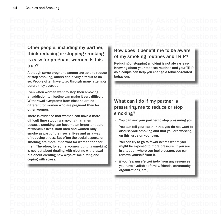#### Freq other people, including my partner, Frequently Asked Questions I Freq think reducing or stopping smoking  $\begin{array}{c} \blacksquare$  How does it benefit me to be aware  $\blacksquare$   $\blacksquare$   $\blacksquare$   $\blacksquare$   $\blacksquare$   $\blacksquare$   $\blacksquare$   $\blacksquare$   $\blacksquare$   $\blacksquare$   $\blacksquare$   $\blacksquare$   $\blacksquare$   $\blacksquare$   $\blacksquare$   $\blacksquare$   $\blacksquare$   $\blacksquare$   $\blacksquare$ Frequently Asked  $\epsilon$  is easy for pregnant women. Is this Reducing or stopping smoking is not always easy. Other people, including my partner, think reducing or stopping smoking is easy for pregnant women. Is this true?

Although Some pregnant women are able to reduce<br>or stop smoking, others find it very difficult to do<br>the diversions of the present of the present of the present of the present of the present of the present of the present o Frequence of the proceed.<br>Frequence of the proceed. Although some pregnant women are able to reduce or stop smoking, others find it very difficult to do so. People often have to go through many attempts before they succeed.

Frequently Asked Question Secondary Asketions Frequently Asked Questions Frequently Asked Questions Frequently Asked Questions Frequently Asked Questions Frequently Asket Asketions Frequently Asketions and addition to pico Frequently Asked Question to incount can make it very annount.<br>
What can I do if my partner is<br>
different for we need who are prefected than for Even when women want to stop their smoking, an addiction to nicotine can make it very difficult. Withdrawal symptoms from nicotine are no different for women who are pregnant than for other women.

 $\blacksquare$  Fig.  $\heartsuit$  There is evidence that women can have a more<br>difficult time stopping smoking than men<br>difficult time stopping smoking than men<br>ask your partner to stop pressuring you Frequencies and the stopping smoking than men<br>because smoking can become an important part<br>of the contract part of the property Asked Questions Frequencies Frequencies Frequencies Frequencies Frequencies<br>of the property as Frequently Asked as part of their social lives and as a way discuss your smoking and that you are working and  $\sim$  10 MS Frequently Asked Questions Stress. But often the social aspects of the contributions issue on your omit.<br>The computations of the control of the control of the control of the control of the control of the control of the con Frequently Asked Questions Therefore, for some women, quitting smoking<br>
is not just about dealing with nicotine withdrawal in situation where you feel pressure, you can Frequently Asked Questions Frequently Asked Questions Frequently Asked Questions Frequently Asked Questions Frequently Asked Questions Frequently Asked Questions Frequently Asked Questions Frequently Asked Questions Freque There is evidence that women can have a more difficult time stopping smoking than men because smoking can become an important part of women's lives. Both men and women may smoke as part of their social lives and as a way of reducing stress. But often the social aspects of smoking are more important for women than for men. Therefore, for some women, quitting smoking is not just about dealing with nicotine withdrawal but about creating new ways of socializing and coping with stress.

### How does it benefit me to be aware of my smoking routines and TRIP?

Frequency true?<br>Although some pregnant women are able to reduce as a couple can help you change a tobacco-related Reducing or stopping smoking is not always easy. Knowing about your tobacco routines and your TRIP as a couple can help you change a tobacco-related behaviour.

#### Frequently Asked Questions Asked Questions Frequently Asked Questions Frequency Asked Questions Frequency Asked Questions Frequency Asked Questions Frequency Asked Questions Frequency Asked Questions Frequency Asked Questi What can I do if my partner is pressuring me to reduce or stop smoking?

- You can ask your partner to stop pressuring you.
- You can tell your partner that you do not want to discuss your smoking and that you are working on this issue on your own.
- You can try to go to fewer events where you might be exposed to more pressure. If you are in situation where you feel pressure, you can remove yourself from it.
- Frequently Asked Questions Asked Questions Frequently Asked Questions Frequently Asked Questions Frequently Asked Questions Frequently Asked Questions Frequently Asked Questions Frequently Asked Questions Frequently Asked *• If you feel unsafe, get help* from any resources you have available (family, friends, community organizations, etc.).

Frequently Asked Questions Frequently Asked Questions Frequently Asked Questions F Frequently Asked Questions Frequently Asked Questions I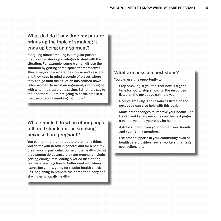#### Frequently and the Lations of a state of the second Frequently Asked Questions Frequently Asked Questions Frequently as a pring and the topic of smoking it  $\mathbb{F}_\mathbb{R}$  frequently Asked Questions  $\mathbb{F}_\mathbb{R}$ What do I do if any time my partner brings up the topic of smoking it ends up being an argument?

Frequently  $\frac{1}{2}$  Frequently assumed the  $\frac{1}{2}$  Frequently Asked Questions Frequently althen you can develop strategies to deal with the **Frequently Asked Questions** Frequently asked as the properties of the contract as the contract of the contract of the properties and the contract questions of the contract of the contract of the contract of the contract of the contract of the contrac Frequently asked as the pullet and help and they keep in mind a couple of places where<br>they can go until the situation has calmed down You can use this opportunity to: Frequently can go until the situation has calmed down.<br>
Other women, to avoid an argument, simply agree Stop smoking. If you feel that now is a good Frequently Asked Questions and Questions Frequently Asked Questions Frequently Asked Questions Frequently Asked Questions Frequently Asked Outsed Questions Frequently Asked Outsed Outsed Outsed Outsed Outsed Outsed Outsed If arguing about smoking is a regular pattern, then you can develop strategies to deal with the situation. For example, some women diffuse the situation by getting some space for themselves. They always know where their purse and keys are, and they keep in mind a couple of places where they can go until the situation has calmed down. Other women, to avoid an argument, simply agree with what their partner is saying. Still others say to their partners, "I am not going to participate in a discussion about smoking right now."

#### Frequently Asked Questions Frequently Asked Questions Frequently Asked Asked Questions Frequences. Frequently  $\mathbf{B}$  and your family members. tell me I should not be smoking because I am pregnant?

Frequently asked Questions of the pregnancy in particular. Some of the healthy things Frequently Asked Questions Frequency in particular. Some of the healthy things Frequently Asked Questions as the questions of that women do because they are pregnant include<br>
getting enough rest, eating a varied diet, eating Transformations Frequently Asked Questions Frequently Asked Frequently, learning how to better deal with stress, Fequently Asked Questions  $\Gamma$   $\approx$ Frequently, Bollog Text of The Control of Text of Asked Questions Frequently Asked Questions Frequently Asked Automobility Asked Automobility Frequently Asked Automobility Asked Automobility of the control of the control o You can remind them that there are many things you do for your health in general and for a healthy pregnancy in particular. Some of the healthy things that women do because they are pregnant include getting enough rest, eating a varied diet, eating regularly, learning how to better deal with stress, exercising gently, going for regular health checkups, beginning to prepare the home for a baby and staying emotionally healthy.

#### What are possible next steps?

You can use this opportunity to:

- Stop smoking. If you feel that now is a good time for you to stop smoking, the resources listed on the next page can help you.
- Frequently Assets Asked Questions about smoking right now."<br>The course Isted on the Table Questions Frequencies Frequencies Frequencies Frequencies Frequencies Frequencies Reduce smoking. The resources listed on the next page can also help with this goal.
- Frequently Asked Questions Frequently asked as  $\mathsf{R}$  and  $\mathsf{R}$ Frequently Asked Questions Frequently Asked  $\Omega$ • Make other changes to improve your health. The Health and Family resources on the next pages can help you and your baby be healthier.
	- Ask for support from your partner, your friends, and your family members.
- Frequently Social Asked Cuestions Frequently Asked  $\sim$  Use other supports in your community such as  $\sim$  Textions Frequencies,  $\sim$  Textions Frequencies are many things Use other supports in your community such as health care providers, social workers, marriage counsellors, etc.

Frequently **Frequently Asked Questions Frequently Asked Questions** Frequently Asked Questions Frequently Asked Questions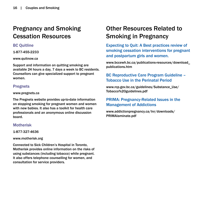### Pregnancy and Smoking Cessation Resources

#### BC Quitline

1-877-455-2233

www.quitnow.ca

Support and information on quitting smoking are available 24 hours a day, 7 days a week to BC residents. Counsellors can give specialized support to pregnant women.

#### Pregnets

#### www.pregnets.ca

The Pregnets website provides up-to-date information on stopping smoking for pregnant women and women with new babies. It also has a toolkit for health care professionals and an anonymous online discussion board.

#### **Motherisk**

1-877-327-4636

www.motherisk.org

Connected to Sick Children's Hospital in Toronto, Motherisk provides online information on the risks of using substances (including tobacco) while pregnant. It also offers telephone counselling for women, and consultation for service providers.

### Other Resources Related to Smoking in Pregnancy

Expecting to Quit: A Best practices review of smoking cessation interventions for pregnant and postpartum girls and women.

www.bccewh.bc.ca/publications-resources/download\_ publications.htm

#### BC Reproductive Care Program Guideline – Tobacco Use in the Perinatal Period

www.rcp.gov.bc.ca/guidelines/Substance\_Use/ Tobacco%20guidelines.pdf

#### PRIMA: Pregnancy-Related Issues in the Management of Addictions

www.addictionpregnancy.ca/lnr/downloads/ PRIMAlaminate.pdf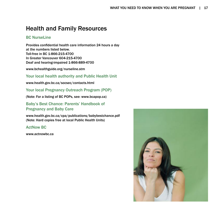### Health and Family Resources

#### BC NurseLine

Provides confidential health care information 24 hours a day at the numbers listed below. Toll-free in BC 1-866-215-4700 In Greater Vancouver 604-215-4700 Deaf and hearing-impaired 1-866-889-4700

www.bchealthguide.org/nurseline.stm

Your local health authority and Public Health Unit

www.health.gov.bc.ca/socsec/contacts.html

Your local Pregnancy Outreach Program (POP)

(Note: For a listing of BC POPs, see: www.bcapop.ca)

Baby's Best Chance: Parents' Handbook of Pregnancy and Baby Care

www.health.gov.bc.ca/cpa/publications/babybestchance.pdf (Note: Hard copies free at local Public Health Units)

ActNow BC

www.actnowbc.ca

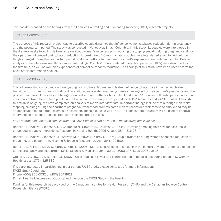This booklet is based on the findings from the Families Controlling and Eliminating Tobacco (FACET) research projects:

#### FACET 1 (2002-2005)

The purpose of this research project was to describe couple dynamics that influence women's tobacco reduction during pregnancy and the postpartum period. The study was conducted in Vancouver, British Columbia. In this study 31 couples were interviewed in the first few weeks following delivery to learn about women's experiences in reducing or stopping smoking during pregnancy and how their partners influenced their tobacco reduction. Approximately 3-6 months later couples were interviewed again to find out how things changed during the postpartum period, and about efforts to minimize the infant's exposure to second-hand smoke. Detailed analysis of the interviews resulted in important findings. Couples' tobacco-related interaction patterns (TRIPs) were described for the first time, as well as women's experiences of compelled tobacco reduction. The findings of this study have been used to form the basis of this information booklet.

#### FACET 2 (2005-2008)

This follow-up study is focused on investigating how mothers, fathers and children influence tobacco use in homes as children transition from infancy to early childhood. In addition, we are also examining men's smoking during their partner's pregnancy and the postpartum period. Interviews are being conducted with new fathers who smoke. In addition, 25 couples will participate in individual interviews at two different time points in the transition from infancy to early childhood: 12-14 months and 24-26 months. Although this study is on-going, we have completed an analysis of men's interview data. Important findings include that although men resist stopping smoking during their partners pregnancy, fatherhood prompts some men to reconsider their resolve to smoke and may be an opportune time to introduce smoking cessation. These results as well as future findings from this study will be used to improve interventions to support tobacco reduction in childbearing families.

*More information about the findings from the FACET projects can be found in the following publications:* 

Bottorff J.L., Kalaw C., Johnson, J.L., Chambers N., Stewart M., Greaves L., (2005). Unraveling smoking ties: how tobacco use is embedded in couple interactions. Research in Nursing Health. 2005 August; 28(4):316-28.

Bottorff J.L., Kalaw C., Johnson J.L., Stewart M., Greaves L., Carey J. (2006). Couple dynamics during women's tobacco reduction in pregnancy and postpartum. Nicotine & Tobacco Research, August; 8(4):499-509.

Bottorff J.L., Oliffe J., Kalaw C., Carey J., Mroz L., (2006). Men's constructions of smoking in the context of women's tobacco reduction during pregnancy and postpartum. Social Science & Medicine, June; 62(12):3096-108. Epub 2006 Jan 18.

Greaves, L., Kalaw, C., & Bottorff, J.L. (2007). Case studies in power and control related to tobacco use during pregnancy. Women's Health Issues, 17(5), 325-332.

If you are interested in participating in our current FACET study, please contact us for more information: FACET Study Coordinator, Phone: (604) 822-0532 or (250) 807-8627 E-mail: Healthyliving.research@ubc.ca and mention the FACET Study in the heading

Funding for this research was provided by the Canadian Institutes for Health Research (CIHR) and the Canadian Tobacco Control Research Initiative (CTCRI).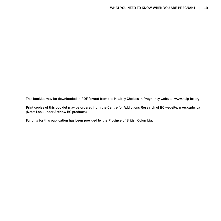This booklet may be downloaded in PDF format from the Healthy Choices in Pregnancy website: www.hcip-bc.org

Print copies of this booklet may be ordered from the Centre for Addictions Research of BC website: www.carbc.ca (Note: Look under ActNow BC products)

Funding for this publication has been provided by the Province of British Columbia.